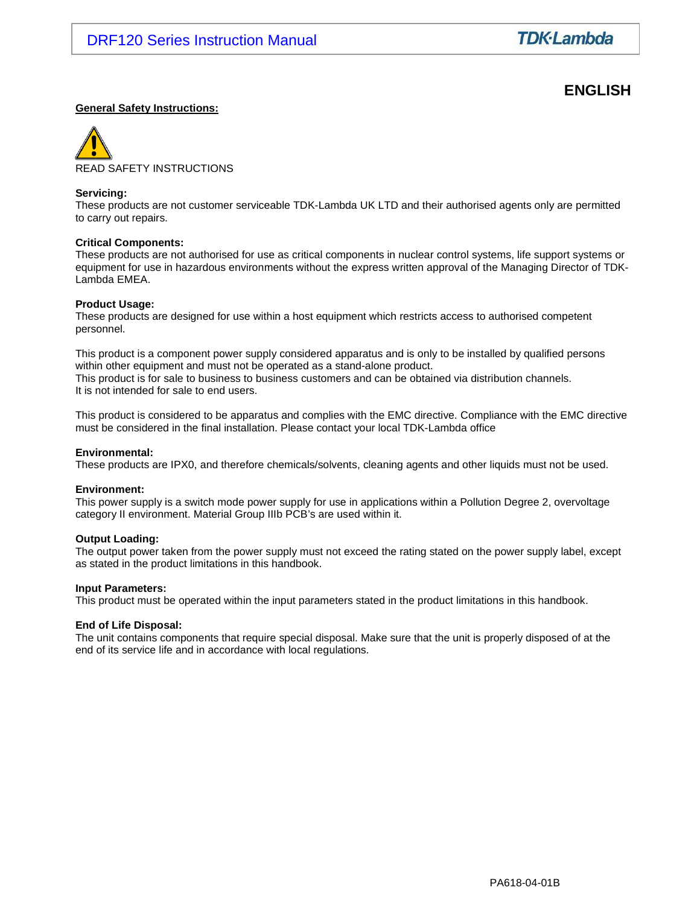# **ENGLISH**

#### **General Safety Instructions:**



#### **Servicing:**

These products are not customer serviceable TDK-Lambda UK LTD and their authorised agents only are permitted to carry out repairs.

#### **Critical Components:**

These products are not authorised for use as critical components in nuclear control systems, life support systems or equipment for use in hazardous environments without the express written approval of the Managing Director of TDK-Lambda EMEA.

#### **Product Usage:**

These products are designed for use within a host equipment which restricts access to authorised competent personnel.

This product is a component power supply considered apparatus and is only to be installed by qualified persons within other equipment and must not be operated as a stand-alone product. This product is for sale to business to business customers and can be obtained via distribution channels. It is not intended for sale to end users.

This product is considered to be apparatus and complies with the EMC directive. Compliance with the EMC directive must be considered in the final installation. Please contact your local TDK-Lambda office

#### **Environmental:**

These products are IPX0, and therefore chemicals/solvents, cleaning agents and other liquids must not be used.

#### **Environment:**

This power supply is a switch mode power supply for use in applications within a Pollution Degree 2, overvoltage category II environment. Material Group IIIb PCB's are used within it.

#### **Output Loading:**

The output power taken from the power supply must not exceed the rating stated on the power supply label, except as stated in the product limitations in this handbook.

#### **Input Parameters:**

This product must be operated within the input parameters stated in the product limitations in this handbook.

#### **End of Life Disposal:**

The unit contains components that require special disposal. Make sure that the unit is properly disposed of at the end of its service life and in accordance with local regulations.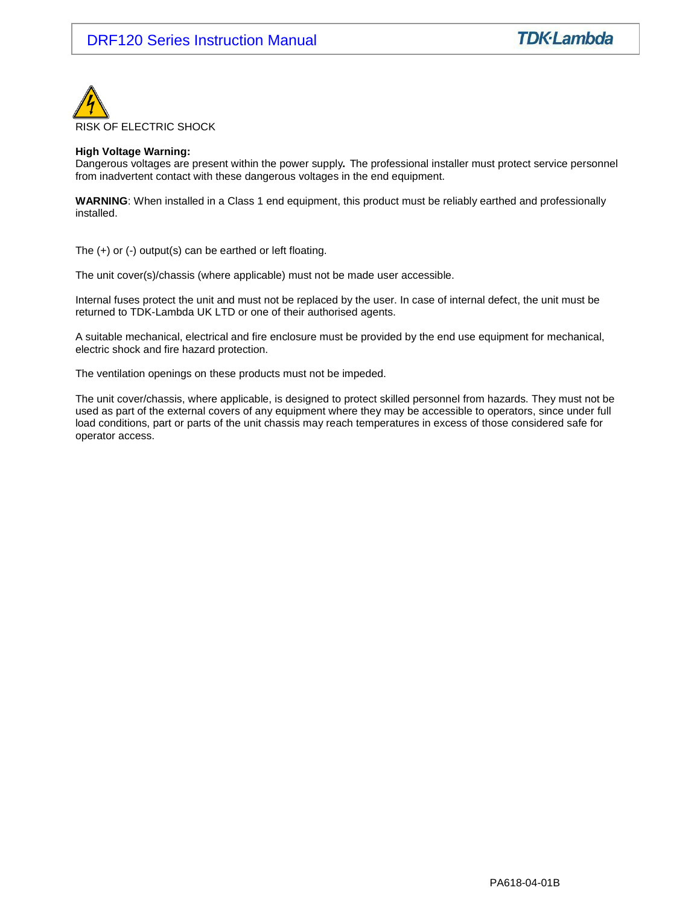

#### **High Voltage Warning:**

Dangerous voltages are present within the power supply**.** The professional installer must protect service personnel from inadvertent contact with these dangerous voltages in the end equipment.

**WARNING**: When installed in a Class 1 end equipment, this product must be reliably earthed and professionally installed.

The (+) or (-) output(s) can be earthed or left floating.

The unit cover(s)/chassis (where applicable) must not be made user accessible.

Internal fuses protect the unit and must not be replaced by the user. In case of internal defect, the unit must be returned to TDK-Lambda UK LTD or one of their authorised agents.

A suitable mechanical, electrical and fire enclosure must be provided by the end use equipment for mechanical, electric shock and fire hazard protection.

The ventilation openings on these products must not be impeded.

The unit cover/chassis, where applicable, is designed to protect skilled personnel from hazards. They must not be used as part of the external covers of any equipment where they may be accessible to operators, since under full load conditions, part or parts of the unit chassis may reach temperatures in excess of those considered safe for operator access.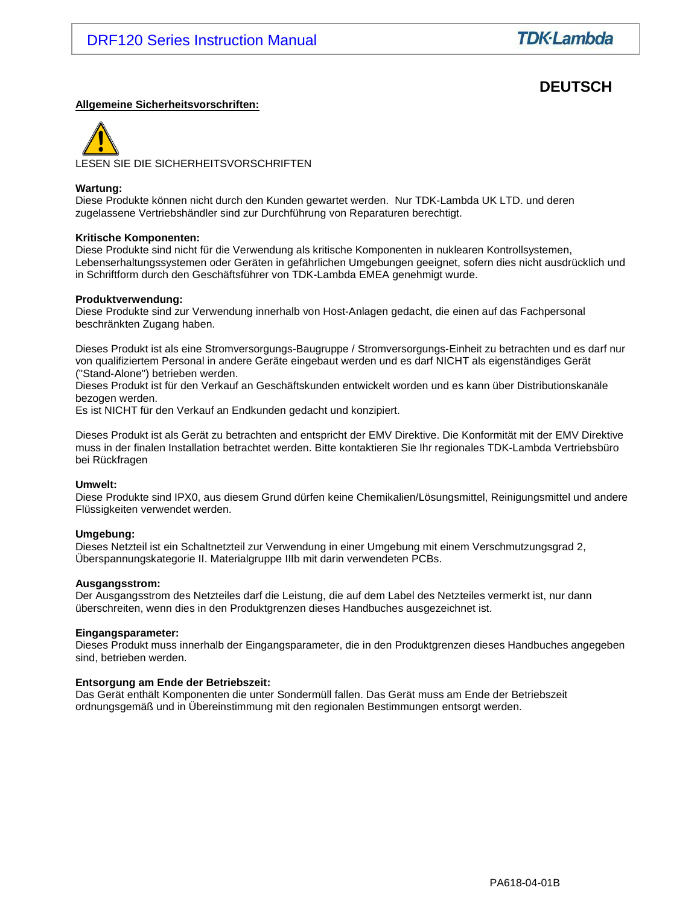# **DEUTSCH**

#### **Allgemeine Sicherheitsvorschriften:**

LESEN SIE DIE SICHERHEITSVORSCHRIFTEN

#### **Wartung:**

Diese Produkte können nicht durch den Kunden gewartet werden. Nur TDK-Lambda UK LTD. und deren zugelassene Vertriebshändler sind zur Durchführung von Reparaturen berechtigt.

#### **Kritische Komponenten:**

Diese Produkte sind nicht für die Verwendung als kritische Komponenten in nuklearen Kontrollsystemen, Lebenserhaltungssystemen oder Geräten in gefährlichen Umgebungen geeignet, sofern dies nicht ausdrücklich und in Schriftform durch den Geschäftsführer von TDK-Lambda EMEA genehmigt wurde.

#### **Produktverwendung:**

Diese Produkte sind zur Verwendung innerhalb von Host-Anlagen gedacht, die einen auf das Fachpersonal beschränkten Zugang haben.

Dieses Produkt ist als eine Stromversorgungs-Baugruppe / Stromversorgungs-Einheit zu betrachten und es darf nur von qualifiziertem Personal in andere Geräte eingebaut werden und es darf NICHT als eigenständiges Gerät ("Stand-Alone") betrieben werden.

Dieses Produkt ist für den Verkauf an Geschäftskunden entwickelt worden und es kann über Distributionskanäle bezogen werden.

Es ist NICHT für den Verkauf an Endkunden gedacht und konzipiert.

Dieses Produkt ist als Gerät zu betrachten and entspricht der EMV Direktive. Die Konformität mit der EMV Direktive muss in der finalen Installation betrachtet werden. Bitte kontaktieren Sie Ihr regionales TDK-Lambda Vertriebsbüro bei Rückfragen

#### **Umwelt:**

Diese Produkte sind IPX0, aus diesem Grund dürfen keine Chemikalien/Lösungsmittel, Reinigungsmittel und andere Flüssigkeiten verwendet werden.

#### **Umgebung:**

Dieses Netzteil ist ein Schaltnetzteil zur Verwendung in einer Umgebung mit einem Verschmutzungsgrad 2, Überspannungskategorie II. Materialgruppe IIIb mit darin verwendeten PCBs.

#### **Ausgangsstrom:**

Der Ausgangsstrom des Netzteiles darf die Leistung, die auf dem Label des Netzteiles vermerkt ist, nur dann überschreiten, wenn dies in den Produktgrenzen dieses Handbuches ausgezeichnet ist.

#### **Eingangsparameter:**

Dieses Produkt muss innerhalb der Eingangsparameter, die in den Produktgrenzen dieses Handbuches angegeben sind, betrieben werden.

#### **Entsorgung am Ende der Betriebszeit:**

Das Gerät enthält Komponenten die unter Sondermüll fallen. Das Gerät muss am Ende der Betriebszeit ordnungsgemäß und in Übereinstimmung mit den regionalen Bestimmungen entsorgt werden.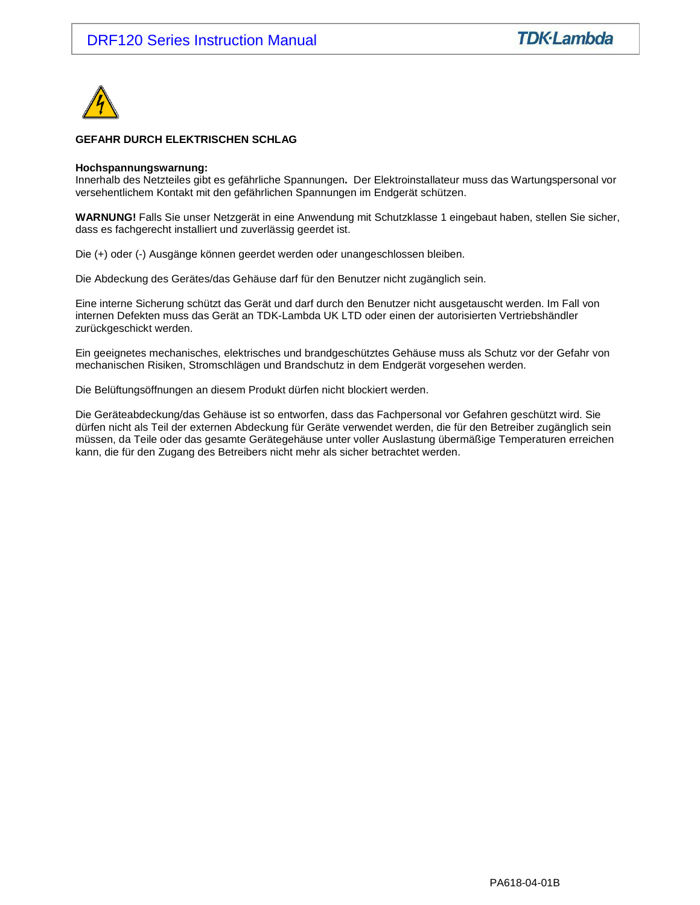

#### **GEFAHR DURCH ELEKTRISCHEN SCHLAG**

#### **Hochspannungswarnung:**

Innerhalb des Netzteiles gibt es gefährliche Spannungen**.** Der Elektroinstallateur muss das Wartungspersonal vor versehentlichem Kontakt mit den gefährlichen Spannungen im Endgerät schützen.

**WARNUNG!** Falls Sie unser Netzgerät in eine Anwendung mit Schutzklasse 1 eingebaut haben, stellen Sie sicher, dass es fachgerecht installiert und zuverlässig geerdet ist.

Die (+) oder (-) Ausgänge können geerdet werden oder unangeschlossen bleiben.

Die Abdeckung des Gerätes/das Gehäuse darf für den Benutzer nicht zugänglich sein.

Eine interne Sicherung schützt das Gerät und darf durch den Benutzer nicht ausgetauscht werden. Im Fall von internen Defekten muss das Gerät an TDK-Lambda UK LTD oder einen der autorisierten Vertriebshändler zurückgeschickt werden.

Ein geeignetes mechanisches, elektrisches und brandgeschütztes Gehäuse muss als Schutz vor der Gefahr von mechanischen Risiken, Stromschlägen und Brandschutz in dem Endgerät vorgesehen werden.

Die Belüftungsöffnungen an diesem Produkt dürfen nicht blockiert werden.

Die Geräteabdeckung/das Gehäuse ist so entworfen, dass das Fachpersonal vor Gefahren geschützt wird. Sie dürfen nicht als Teil der externen Abdeckung für Geräte verwendet werden, die für den Betreiber zugänglich sein müssen, da Teile oder das gesamte Gerätegehäuse unter voller Auslastung übermäßige Temperaturen erreichen kann, die für den Zugang des Betreibers nicht mehr als sicher betrachtet werden.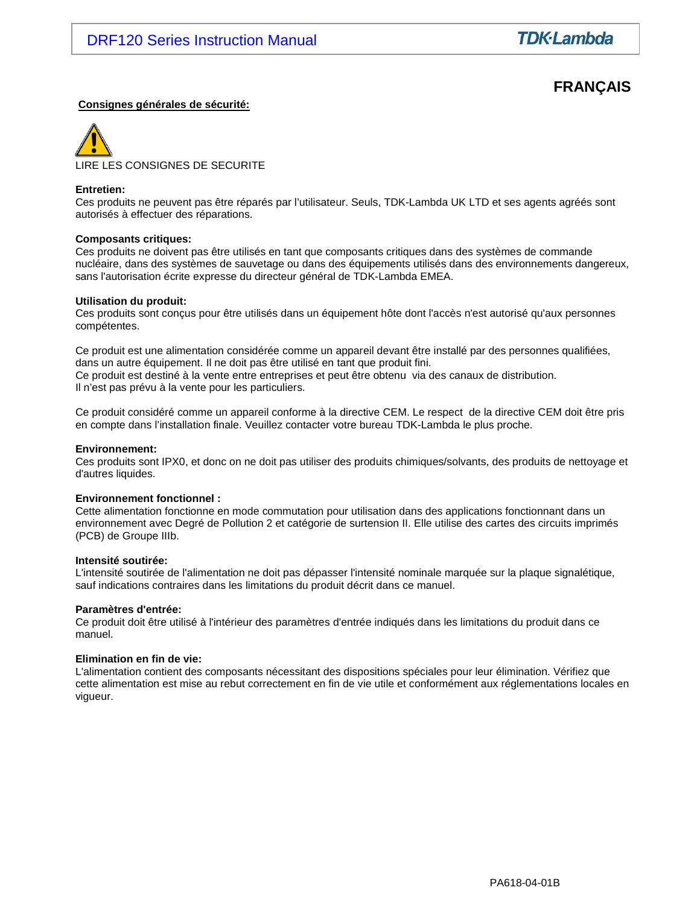# **FRANÇAIS**

#### **Consignes générales de sécurité:**



#### **Entretien:**

Ces produits ne peuvent pas être réparés par l'utilisateur. Seuls, TDK-Lambda UK LTD et ses agents agréés sont autorisés à effectuer des réparations.

#### **Composants critiques:**

Ces produits ne doivent pas être utilisés en tant que composants critiques dans des systèmes de commande nucléaire, dans des systèmes de sauvetage ou dans des équipements utilisés dans des environnements dangereux, sans l'autorisation écrite expresse du directeur général de TDK-Lambda EMEA.

#### **Utilisation du produit:**

Ces produits sont conçus pour être utilisés dans un équipement hôte dont l'accès n'est autorisé qu'aux personnes compétentes.

Ce produit est une alimentation considérée comme un appareil devant être installé par des personnes qualifiées, dans un autre équipement. Il ne doit pas être utilisé en tant que produit fini. Ce produit est destiné à la vente entre entreprises et peut être obtenu via des canaux de distribution. Il n'est pas prévu à la vente pour les particuliers.

Ce produit considéré comme un appareil conforme à la directive CEM. Le respect de la directive CEM doit être pris en compte dans l'installation finale. Veuillez contacter votre bureau TDK-Lambda le plus proche.

#### **Environnement:**

Ces produits sont IPX0, et donc on ne doit pas utiliser des produits chimiques/solvants, des produits de nettoyage et d'autres liquides.

#### **Environnement fonctionnel :**

Cette alimentation fonctionne en mode commutation pour utilisation dans des applications fonctionnant dans un environnement avec Degré de Pollution 2 et catégorie de surtension II. Elle utilise des cartes des circuits imprimés (PCB) de Groupe IIIb.

#### **Intensité soutirée:**

L'intensité soutirée de l'alimentation ne doit pas dépasser l'intensité nominale marquée sur la plaque signalétique, sauf indications contraires dans les limitations du produit décrit dans ce manuel.

#### **Paramètres d'entrée:**

Ce produit doit être utilisé à l'intérieur des paramètres d'entrée indiqués dans les limitations du produit dans ce manuel.

#### **Elimination en fin de vie:**

L'alimentation contient des composants nécessitant des dispositions spéciales pour leur élimination. Vérifiez que cette alimentation est mise au rebut correctement en fin de vie utile et conformément aux réglementations locales en vigueur.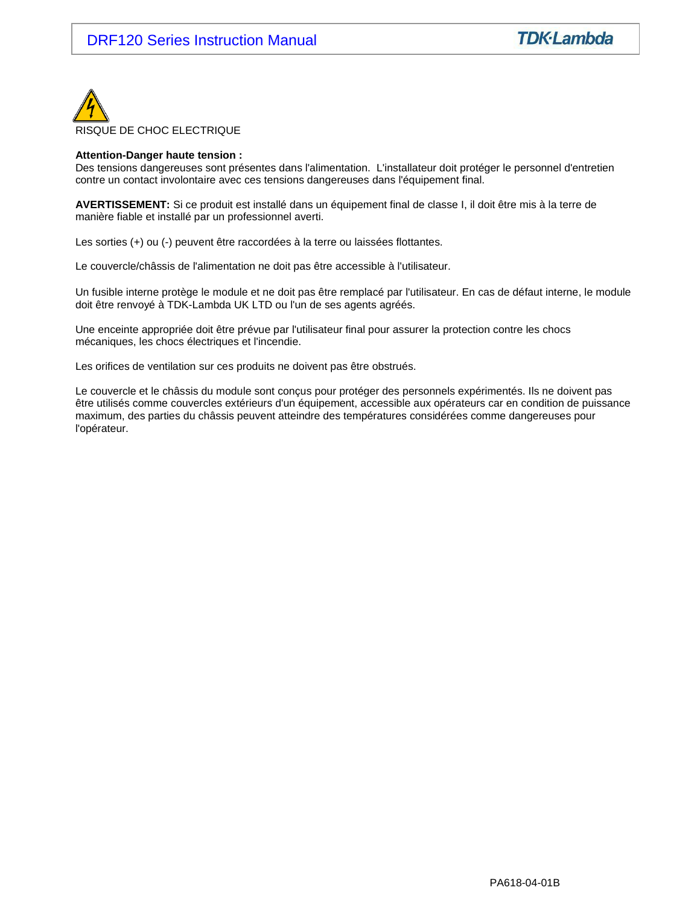

#### **Attention-Danger haute tension :**

Des tensions dangereuses sont présentes dans l'alimentation. L'installateur doit protéger le personnel d'entretien contre un contact involontaire avec ces tensions dangereuses dans l'équipement final.

**AVERTISSEMENT:** Si ce produit est installé dans un équipement final de classe I, il doit être mis à la terre de manière fiable et installé par un professionnel averti.

Les sorties (+) ou (-) peuvent être raccordées à la terre ou laissées flottantes.

Le couvercle/châssis de l'alimentation ne doit pas être accessible à l'utilisateur.

Un fusible interne protège le module et ne doit pas être remplacé par l'utilisateur. En cas de défaut interne, le module doit être renvoyé à TDK-Lambda UK LTD ou l'un de ses agents agréés.

Une enceinte appropriée doit être prévue par l'utilisateur final pour assurer la protection contre les chocs mécaniques, les chocs électriques et l'incendie.

Les orifices de ventilation sur ces produits ne doivent pas être obstrués.

Le couvercle et le châssis du module sont conçus pour protéger des personnels expérimentés. Ils ne doivent pas être utilisés comme couvercles extérieurs d'un équipement, accessible aux opérateurs car en condition de puissance maximum, des parties du châssis peuvent atteindre des températures considérées comme dangereuses pour l'opérateur.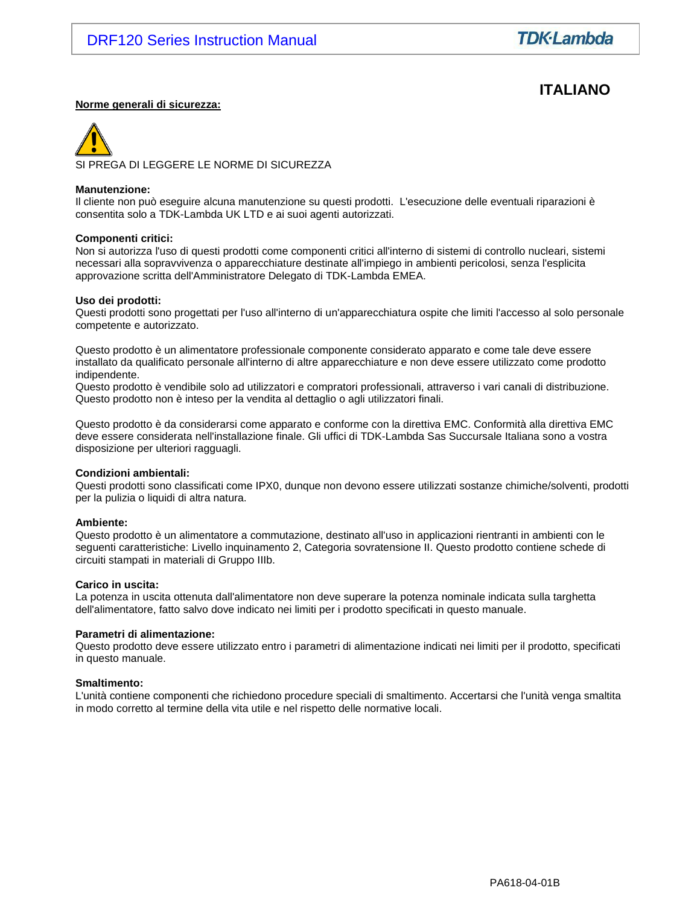# **ITALIANO**

#### **Norme generali di sicurezza:**

SI PREGA DI LEGGERE LE NORME DI SICUREZZA

#### **Manutenzione:**

Il cliente non può eseguire alcuna manutenzione su questi prodotti. L'esecuzione delle eventuali riparazioni è consentita solo a TDK-Lambda UK LTD e ai suoi agenti autorizzati.

#### **Componenti critici:**

Non si autorizza l'uso di questi prodotti come componenti critici all'interno di sistemi di controllo nucleari, sistemi necessari alla sopravvivenza o apparecchiature destinate all'impiego in ambienti pericolosi, senza l'esplicita approvazione scritta dell'Amministratore Delegato di TDK-Lambda EMEA.

#### **Uso dei prodotti:**

Questi prodotti sono progettati per l'uso all'interno di un'apparecchiatura ospite che limiti l'accesso al solo personale competente e autorizzato.

Questo prodotto è un alimentatore professionale componente considerato apparato e come tale deve essere installato da qualificato personale all'interno di altre apparecchiature e non deve essere utilizzato come prodotto indipendente.

Questo prodotto è vendibile solo ad utilizzatori e compratori professionali, attraverso i vari canali di distribuzione. Questo prodotto non è inteso per la vendita al dettaglio o agli utilizzatori finali.

Questo prodotto è da considerarsi come apparato e conforme con la direttiva EMC. Conformità alla direttiva EMC deve essere considerata nell'installazione finale. Gli uffici di TDK-Lambda Sas Succursale Italiana sono a vostra disposizione per ulteriori ragguagli.

#### **Condizioni ambientali:**

Questi prodotti sono classificati come IPX0, dunque non devono essere utilizzati sostanze chimiche/solventi, prodotti per la pulizia o liquidi di altra natura.

#### **Ambiente:**

Questo prodotto è un alimentatore a commutazione, destinato all'uso in applicazioni rientranti in ambienti con le seguenti caratteristiche: Livello inquinamento 2, Categoria sovratensione II. Questo prodotto contiene schede di circuiti stampati in materiali di Gruppo IIIb.

#### **Carico in uscita:**

La potenza in uscita ottenuta dall'alimentatore non deve superare la potenza nominale indicata sulla targhetta dell'alimentatore, fatto salvo dove indicato nei limiti per i prodotto specificati in questo manuale.

#### **Parametri di alimentazione:**

Questo prodotto deve essere utilizzato entro i parametri di alimentazione indicati nei limiti per il prodotto, specificati in questo manuale.

#### **Smaltimento:**

L'unità contiene componenti che richiedono procedure speciali di smaltimento. Accertarsi che l'unità venga smaltita in modo corretto al termine della vita utile e nel rispetto delle normative locali.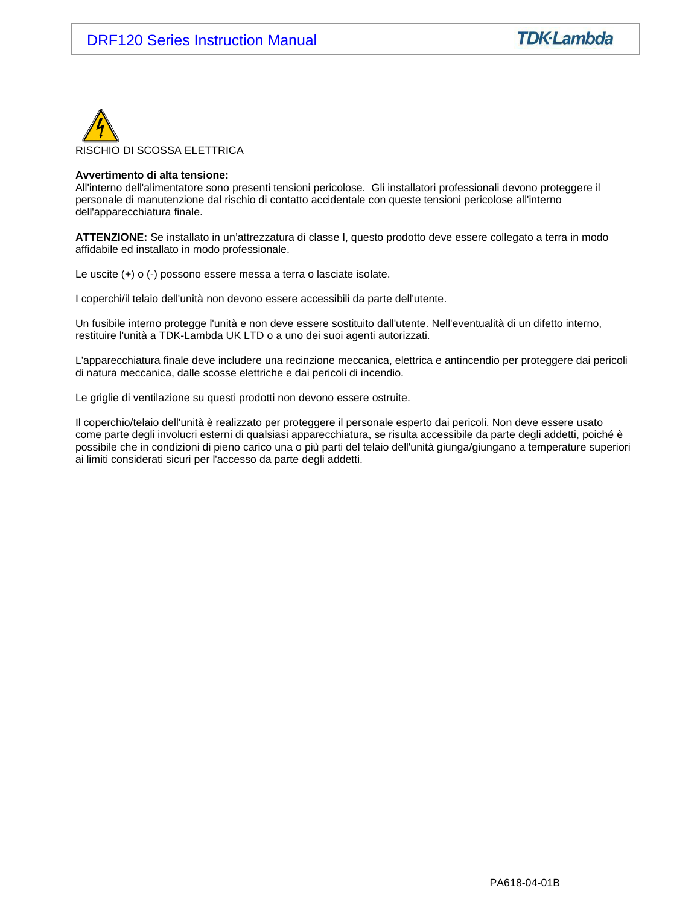

#### **Avvertimento di alta tensione:**

All'interno dell'alimentatore sono presenti tensioni pericolose. Gli installatori professionali devono proteggere il personale di manutenzione dal rischio di contatto accidentale con queste tensioni pericolose all'interno dell'apparecchiatura finale.

**ATTENZIONE:** Se installato in un'attrezzatura di classe I, questo prodotto deve essere collegato a terra in modo affidabile ed installato in modo professionale.

Le uscite (+) o (-) possono essere messa a terra o lasciate isolate.

I coperchi/il telaio dell'unità non devono essere accessibili da parte dell'utente.

Un fusibile interno protegge l'unità e non deve essere sostituito dall'utente. Nell'eventualità di un difetto interno, restituire l'unità a TDK-Lambda UK LTD o a uno dei suoi agenti autorizzati.

L'apparecchiatura finale deve includere una recinzione meccanica, elettrica e antincendio per proteggere dai pericoli di natura meccanica, dalle scosse elettriche e dai pericoli di incendio.

Le griglie di ventilazione su questi prodotti non devono essere ostruite.

Il coperchio/telaio dell'unità è realizzato per proteggere il personale esperto dai pericoli. Non deve essere usato come parte degli involucri esterni di qualsiasi apparecchiatura, se risulta accessibile da parte degli addetti, poiché è possibile che in condizioni di pieno carico una o più parti del telaio dell'unità giunga/giungano a temperature superiori ai limiti considerati sicuri per l'accesso da parte degli addetti.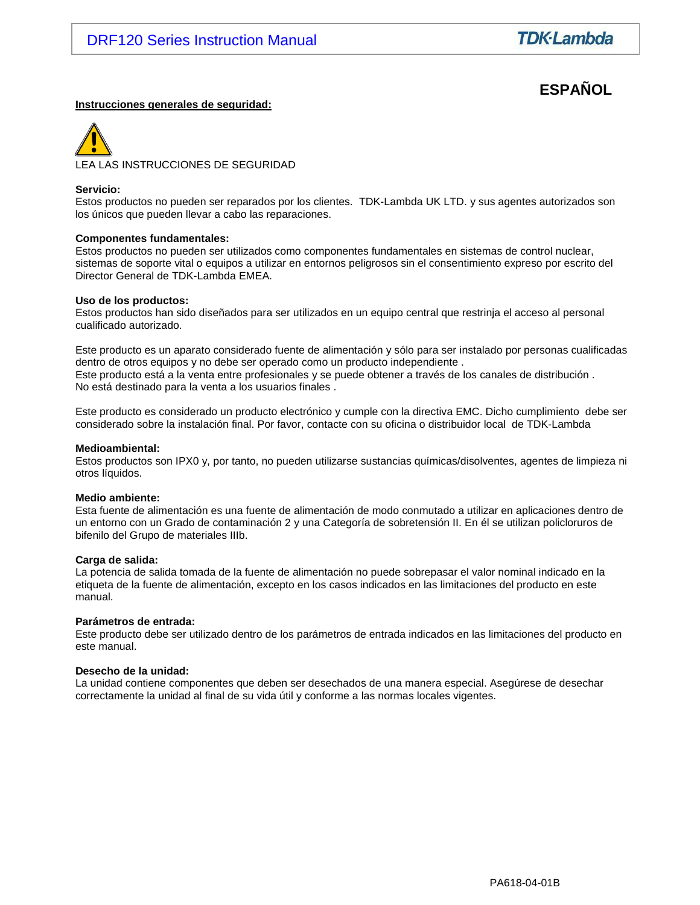# **ESPAÑOL**

#### **Instrucciones generales de seguridad:**



#### **Servicio:**

Estos productos no pueden ser reparados por los clientes. TDK-Lambda UK LTD. y sus agentes autorizados son los únicos que pueden llevar a cabo las reparaciones.

#### **Componentes fundamentales:**

Estos productos no pueden ser utilizados como componentes fundamentales en sistemas de control nuclear, sistemas de soporte vital o equipos a utilizar en entornos peligrosos sin el consentimiento expreso por escrito del Director General de TDK-Lambda EMEA.

#### **Uso de los productos:**

Estos productos han sido diseñados para ser utilizados en un equipo central que restrinja el acceso al personal cualificado autorizado.

Este producto es un aparato considerado fuente de alimentación y sólo para ser instalado por personas cualificadas dentro de otros equipos y no debe ser operado como un producto independiente . Este producto está a la venta entre profesionales y se puede obtener a través de los canales de distribución . No está destinado para la venta a los usuarios finales .

Este producto es considerado un producto electrónico y cumple con la directiva EMC. Dicho cumplimiento debe ser considerado sobre la instalación final. Por favor, contacte con su oficina o distribuidor local de TDK-Lambda

#### **Medioambiental:**

Estos productos son IPX0 y, por tanto, no pueden utilizarse sustancias químicas/disolventes, agentes de limpieza ni otros líquidos.

#### **Medio ambiente:**

Esta fuente de alimentación es una fuente de alimentación de modo conmutado a utilizar en aplicaciones dentro de un entorno con un Grado de contaminación 2 y una Categoría de sobretensión II. En él se utilizan policloruros de bifenilo del Grupo de materiales IIIb.

#### **Carga de salida:**

La potencia de salida tomada de la fuente de alimentación no puede sobrepasar el valor nominal indicado en la etiqueta de la fuente de alimentación, excepto en los casos indicados en las limitaciones del producto en este manual.

#### **Parámetros de entrada:**

Este producto debe ser utilizado dentro de los parámetros de entrada indicados en las limitaciones del producto en este manual.

#### **Desecho de la unidad:**

La unidad contiene componentes que deben ser desechados de una manera especial. Asegúrese de desechar correctamente la unidad al final de su vida útil y conforme a las normas locales vigentes.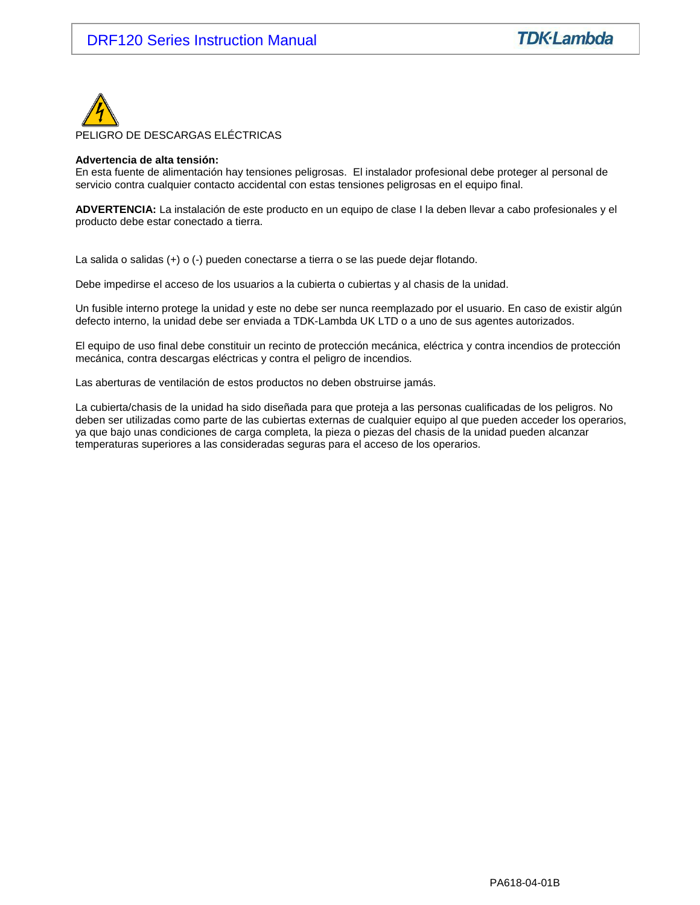

#### **Advertencia de alta tensión:**

En esta fuente de alimentación hay tensiones peligrosas. El instalador profesional debe proteger al personal de servicio contra cualquier contacto accidental con estas tensiones peligrosas en el equipo final.

**ADVERTENCIA:** La instalación de este producto en un equipo de clase I la deben llevar a cabo profesionales y el producto debe estar conectado a tierra.

La salida o salidas (+) o (-) pueden conectarse a tierra o se las puede dejar flotando.

Debe impedirse el acceso de los usuarios a la cubierta o cubiertas y al chasis de la unidad.

Un fusible interno protege la unidad y este no debe ser nunca reemplazado por el usuario. En caso de existir algún defecto interno, la unidad debe ser enviada a TDK-Lambda UK LTD o a uno de sus agentes autorizados.

El equipo de uso final debe constituir un recinto de protección mecánica, eléctrica y contra incendios de protección mecánica, contra descargas eléctricas y contra el peligro de incendios.

Las aberturas de ventilación de estos productos no deben obstruirse jamás.

La cubierta/chasis de la unidad ha sido diseñada para que proteja a las personas cualificadas de los peligros. No deben ser utilizadas como parte de las cubiertas externas de cualquier equipo al que pueden acceder los operarios, ya que bajo unas condiciones de carga completa, la pieza o piezas del chasis de la unidad pueden alcanzar temperaturas superiores a las consideradas seguras para el acceso de los operarios.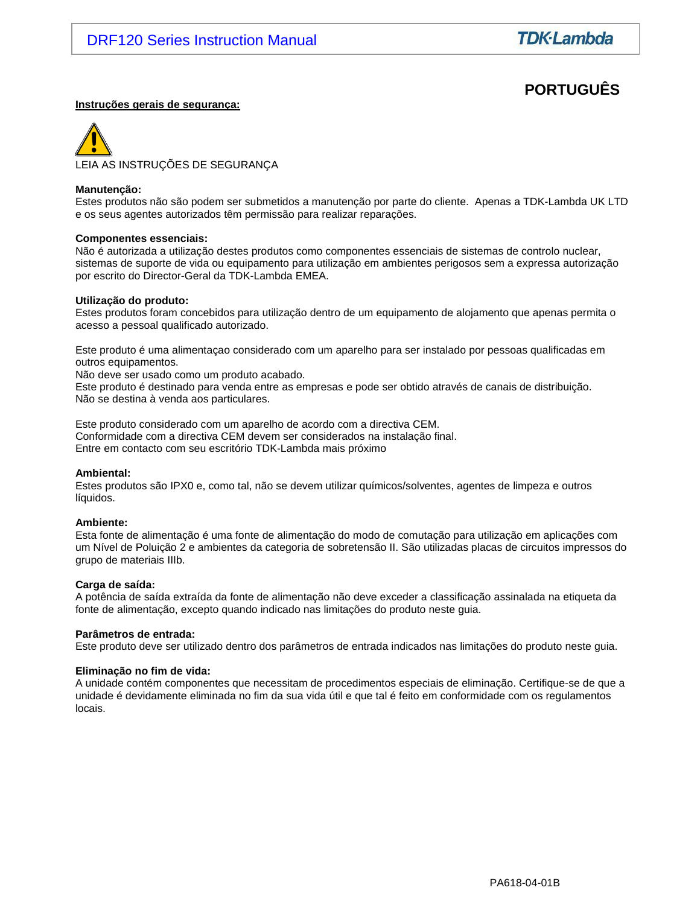# **PORTUGUÊS**

#### **Instruções gerais de segurança:**



#### **Manutenção:**

Estes produtos não são podem ser submetidos a manutenção por parte do cliente. Apenas a TDK-Lambda UK LTD e os seus agentes autorizados têm permissão para realizar reparações.

#### **Componentes essenciais:**

Não é autorizada a utilização destes produtos como componentes essenciais de sistemas de controlo nuclear, sistemas de suporte de vida ou equipamento para utilização em ambientes perigosos sem a expressa autorização por escrito do Director-Geral da TDK-Lambda EMEA.

#### **Utilização do produto:**

Estes produtos foram concebidos para utilização dentro de um equipamento de alojamento que apenas permita o acesso a pessoal qualificado autorizado.

Este produto é uma alimentaçao considerado com um aparelho para ser instalado por pessoas qualificadas em outros equipamentos.

Não deve ser usado como um produto acabado.

Este produto é destinado para venda entre as empresas e pode ser obtido através de canais de distribuição. Não se destina à venda aos particulares.

Este produto considerado com um aparelho de acordo com a directiva CEM. Conformidade com a directiva CEM devem ser considerados na instalação final. Entre em contacto com seu escritório TDK-Lambda mais próximo

#### **Ambiental:**

Estes produtos são IPX0 e, como tal, não se devem utilizar químicos/solventes, agentes de limpeza e outros líquidos.

#### **Ambiente:**

Esta fonte de alimentação é uma fonte de alimentação do modo de comutação para utilização em aplicações com um Nível de Poluição 2 e ambientes da categoria de sobretensão II. São utilizadas placas de circuitos impressos do grupo de materiais IIIb.

#### **Carga de saída:**

A potência de saída extraída da fonte de alimentação não deve exceder a classificação assinalada na etiqueta da fonte de alimentação, excepto quando indicado nas limitações do produto neste guia.

#### **Parâmetros de entrada:**

Este produto deve ser utilizado dentro dos parâmetros de entrada indicados nas limitações do produto neste guia.

#### **Eliminação no fim de vida:**

A unidade contém componentes que necessitam de procedimentos especiais de eliminação. Certifique-se de que a unidade é devidamente eliminada no fim da sua vida útil e que tal é feito em conformidade com os regulamentos locais.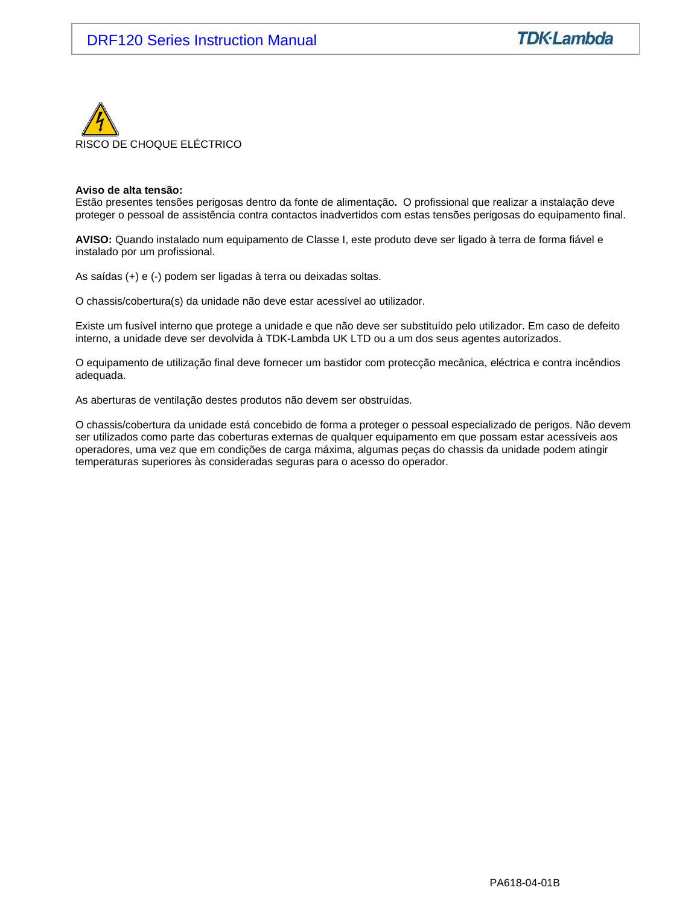

#### **Aviso de alta tensão:**

Estão presentes tensões perigosas dentro da fonte de alimentação**.** O profissional que realizar a instalação deve proteger o pessoal de assistência contra contactos inadvertidos com estas tensões perigosas do equipamento final.

**AVISO:** Quando instalado num equipamento de Classe I, este produto deve ser ligado à terra de forma fiável e instalado por um profissional.

As saídas (+) e (-) podem ser ligadas à terra ou deixadas soltas.

O chassis/cobertura(s) da unidade não deve estar acessível ao utilizador.

Existe um fusível interno que protege a unidade e que não deve ser substituído pelo utilizador. Em caso de defeito interno, a unidade deve ser devolvida à TDK-Lambda UK LTD ou a um dos seus agentes autorizados.

O equipamento de utilização final deve fornecer um bastidor com protecção mecânica, eléctrica e contra incêndios adequada.

As aberturas de ventilação destes produtos não devem ser obstruídas.

O chassis/cobertura da unidade está concebido de forma a proteger o pessoal especializado de perigos. Não devem ser utilizados como parte das coberturas externas de qualquer equipamento em que possam estar acessíveis aos operadores, uma vez que em condições de carga máxima, algumas peças do chassis da unidade podem atingir temperaturas superiores às consideradas seguras para o acesso do operador.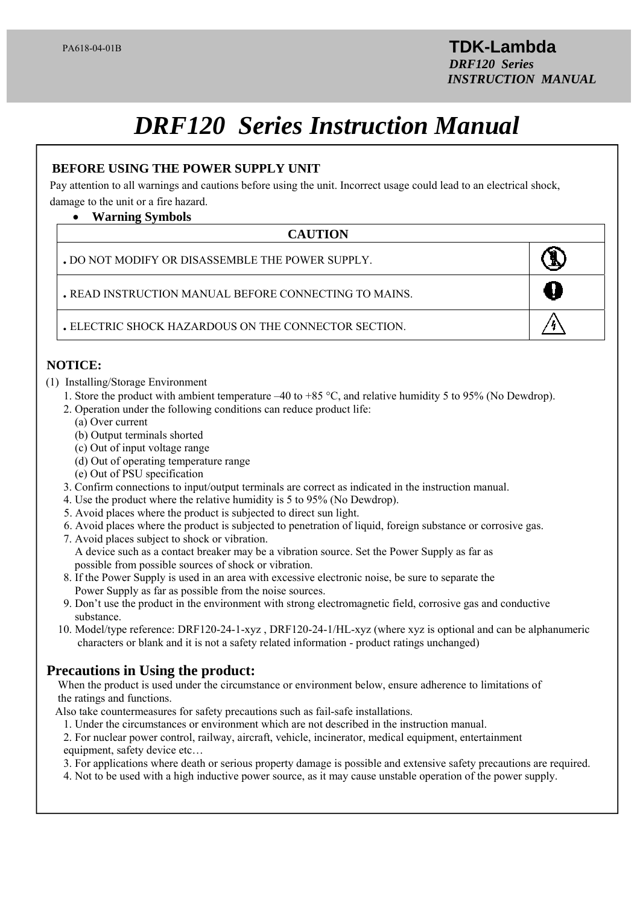# *DRF120 Series Instruction Manual*

# **BEFORE USING THE POWER SUPPLY UNIT**

Pay attention to all warnings and cautions before using the unit. Incorrect usage could lead to an electrical shock, damage to the unit or a fire hazard.

# **Warning Symbols**

# l **CAUTION**

| . DO NOT MODIFY OR DISASSEMBLE THE POWER SUPPLY.      |  |
|-------------------------------------------------------|--|
| . READ INSTRUCTION MANUAL BEFORE CONNECTING TO MAINS. |  |
| . ELECTRIC SHOCK HAZARDOUS ON THE CONNECTOR SECTION.  |  |

# **NOTICE:**

- (1) Installing/Storage Environment
	- 1. Store the product with ambient temperature –40 to +85  $^{\circ}$ C, and relative humidity 5 to 95% (No Dewdrop).
	- 2. Operation under the following conditions can reduce product life:
		- (a) Over current
		- (b) Output terminals shorted
		- (c) Out of input voltage range
		- (d) Out of operating temperature range
		- (e) Out of PSU specification
	- 3. Confirm connections to input/output terminals are correct as indicated in the instruction manual.
	- 4. Use the product where the relative humidity is 5 to 95% (No Dewdrop).
	- 5. Avoid places where the product is subjected to direct sun light.
	- 6. Avoid places where the product is subjected to penetration of liquid, foreign substance or corrosive gas.
	- 7. Avoid places subject to shock or vibration.

 A device such as a contact breaker may be a vibration source. Set the Power Supply as far as possible from possible sources of shock or vibration.

- 8. If the Power Supply is used in an area with excessive electronic noise, be sure to separate the Power Supply as far as possible from the noise sources.
- 9. Don't use the product in the environment with strong electromagnetic field, corrosive gas and conductive substance.
- 10. Model/type reference: DRF120-24-1-xyz , DRF120-24-1/HL-xyz (where xyz is optional and can be alphanumeric characters or blank and it is not a safety related information - product ratings unchanged)

# **Precautions in Using the product:**

 When the product is used under the circumstance or environment below, ensure adherence to limitations of the ratings and functions.

- Also take countermeasures for safety precautions such as fail-safe installations.
	- 1. Under the circumstances or environment which are not described in the instruction manual.

 2. For nuclear power control, railway, aircraft, vehicle, incinerator, medical equipment, entertainment equipment, safety device etc…

3. For applications where death or serious property damage is possible and extensive safety precautions are required.

4. Not to be used with a high inductive power source, as it may cause unstable operation of the power supply.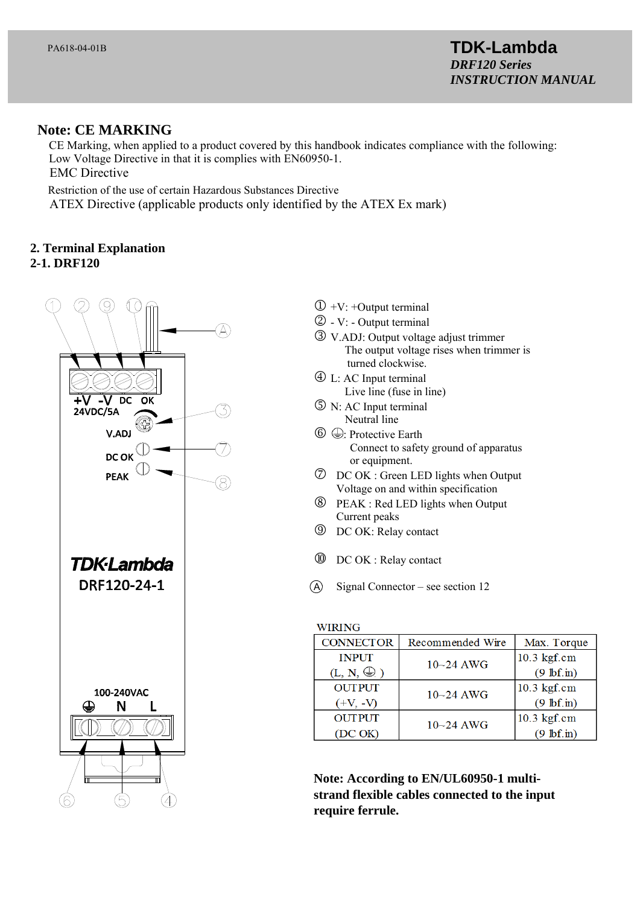# **Note: CE MARKING**

 CE Marking, when applied to a product covered by this handbook indicates compliance with the following: Low Voltage Directive in that it is complies with EN60950-1. EMC Directive

Restriction of the use of certain Hazardous Substances Directive

ATEX Directive (applicable products only identified by the ATEX Ex mark)

# **2. Terminal Explanation**

# **2-1. DRF120**



- $\mathbb{D}$  +V: +Output terminal
- $\circled{2}$  V: Output terminal
- V.ADJ: Output voltage adjust trimmer The output voltage rises when trimmer is turned clockwise.
- L: AC Input terminal Live line (fuse in line)
- N: AC Input terminal Neutral line
- $\circledcirc \oplus$ : Protective Earth Connect to safety ground of apparatus or equipment.
- DC OK : Green LED lights when Output Voltage on and within specification
- PEAK : Red LED lights when Output Current peaks
- DC OK: Relay contact
- DC OK : Relay contact
- $\overline{A}$  Signal Connector see section 12

### **WIRING**

| <b>CONNECTOR</b>    | Recommended Wire | Max. Torque          |
|---------------------|------------------|----------------------|
| <b>INPUT</b>        | $10 - 24$ AWG    | 10.3 kgf.cm          |
| $(L, N, \bigoplus)$ |                  | $(9 \text{ lbf.in})$ |
| <b>OUTPUT</b>       | $10 - 24$ AWG    | 10.3 kgf.cm          |
| $(+V, -V)$          |                  | $(9 \text{ lbf.in})$ |
| <b>OUTPUT</b>       | $10 - 24$ AWG    | 10.3 kgf.cm          |
| (DC OK)             |                  | $(9 \text{ lbf.in})$ |

**Note: According to EN/UL60950-1 multistrand flexible cables connected to the input require ferrule.**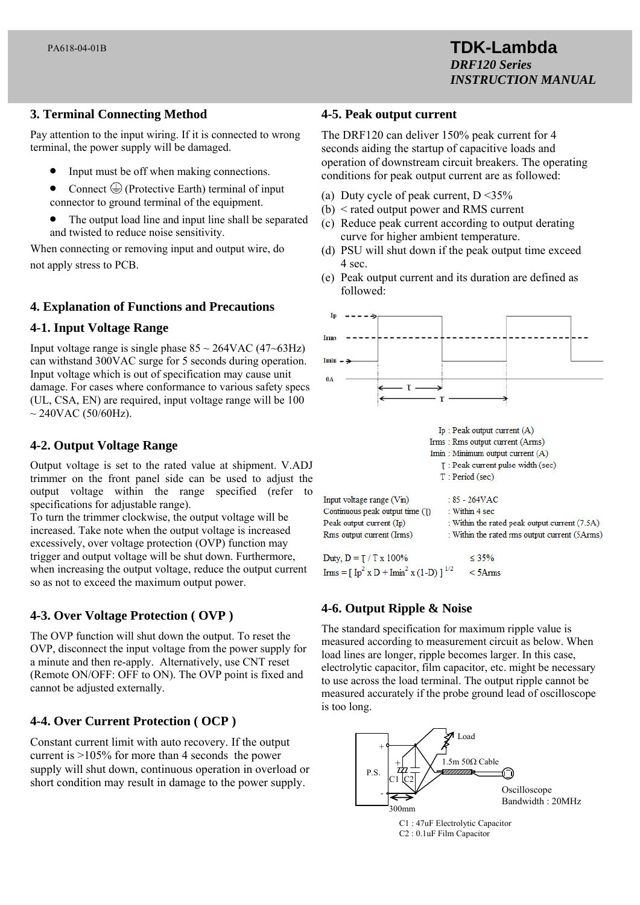# **3. Terminal Connecting Method**

Pay attention to the input wiring. If it is connected to wrong terminal, the power supply will be damaged.

- Input must be off when making connections.
- Connect  $\bigoplus$  (Protective Earth) terminal of input connector to ground terminal of the equipment.
- The output load line and input line shall be separated and twisted to reduce noise sensitivity.

When connecting or removing input and output wire, do not apply stress to PCB.

# **4. Explanation of Functions and Precautions**

# **4-1. Input Voltage Range**

Input voltage range is single phase  $85 \sim 264 \text{VAC} (47 \sim 63 \text{Hz})$ can withstand 300VAC surge for 5 seconds during operation. Input voltage which is out of specification may cause unit damage. For cases where conformance to various safety specs (UL, CSA, EN) are required, input voltage range will be 100  $\sim$  240VAC (50/60Hz).

# **4-2. Output Voltage Range**

Output voltage is set to the rated value at shipment. V.ADJ trimmer on the front panel side can be used to adjust the output voltage within the range specified (refer to specifications for adjustable range).

To turn the trimmer clockwise, the output voltage will be increased. Take note when the output voltage is increased excessively, over voltage protection (OVP) function may trigger and output voltage will be shut down. Furthermore, when increasing the output voltage, reduce the output current so as not to exceed the maximum output power.

# **4-3. Over Voltage Protection ( OVP )**

The OVP function will shut down the output. To reset the OVP, disconnect the input voltage from the power supply for a minute and then re-apply. Alternatively, use CNT reset (Remote ON/OFF: OFF to ON). The OVP point is fixed and cannot be adjusted externally.

# **4-4. Over Current Protection ( OCP )**

Constant current limit with auto recovery. If the output current is >105% for more than 4 seconds the power supply will shut down, continuous operation in overload or short condition may result in damage to the power supply.

### **4-5. Peak output current**

The DRF120 can deliver 150% peak current for 4 seconds aiding the startup of capacitive loads and operation of downstream circuit breakers. The operating conditions for peak output current are as followed:

- (a) Duty cycle of peak current,  $D < 35\%$
- (b) < rated output power and RMS current
- (c) Reduce peak current according to output derating curve for higher ambient temperature.
- (d) PSU will shut down if the peak output time exceed 4 sec.
- (e) Peak output current and its duration are defined as followed:



# **4-6. Output Ripple & Noise**

The standard specification for maximum ripple value is measured according to measurement circuit as below. When load lines are longer, ripple becomes larger. In this case, electrolytic capacitor, film capacitor, etc. might be necessary to use across the load terminal. The output ripple cannot be measured accurately if the probe ground lead of oscilloscope is too long.

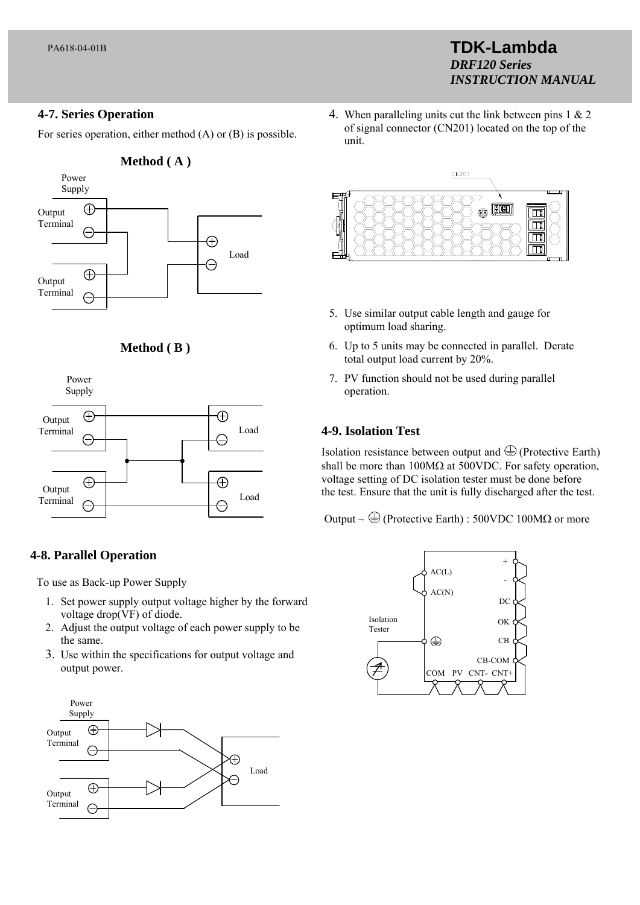# **4-7. Series Operation**

For series operation, either method (A) or (B) is possible.







# **4-8. Parallel Operation**

To use as Back-up Power Supply

- 1. Set power supply output voltage higher by the forward voltage drop(VF) of diode.
- 2. Adjust the output voltage of each power supply to be the same.
- 3. Use within the specifications for output voltage and output power.



4. When paralleling units cut the link between pins 1 & 2 of signal connector (CN201) located on the top of the unit.

**TDK-Lambda** 

*INSTRUCTION MANUAL*

*DRF120 Series*



- 5. Use similar output cable length and gauge for optimum load sharing.
- 6. Up to 5 units may be connected in parallel. Derate total output load current by 20%.
- 7. PV function should not be used during parallel operation.

# **4-9. Isolation Test**

Isolation resistance between output and  $\bigoplus$  (Protective Earth) shall be more than  $100M\Omega$  at 500VDC. For safety operation, voltage setting of DC isolation tester must be done before the test. Ensure that the unit is fully discharged after the test.

Output ~  $\bigoplus$  (Protective Earth) : 500VDC 100M $\Omega$  or more

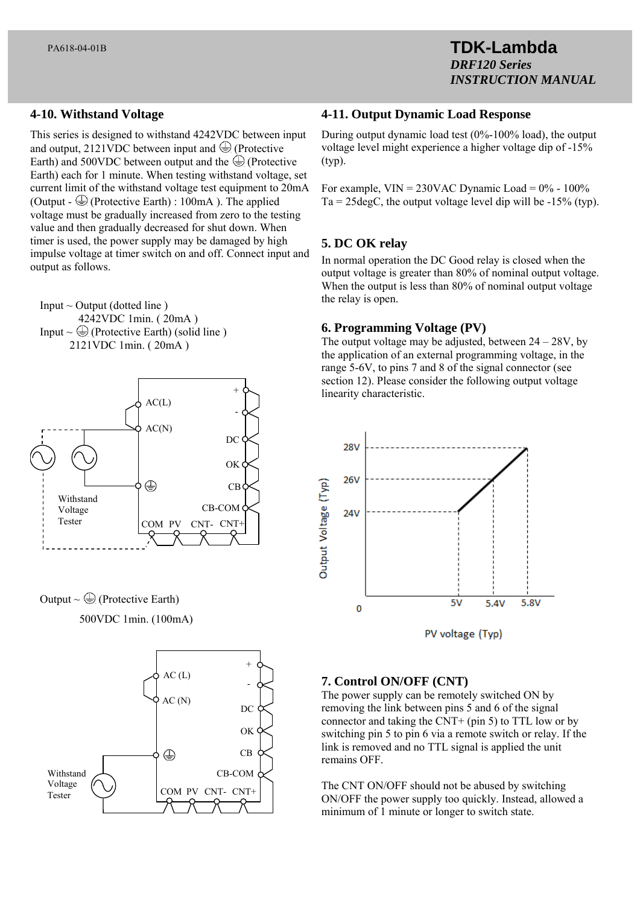### **4-10. Withstand Voltage**

This series is designed to withstand 4242VDC between input and output, 2121VDC between input and  $\bigoplus$  (Protective Earth) and 500VDC between output and the  $\bigoplus$  (Protective Earth) each for 1 minute. When testing withstand voltage, set current limit of the withstand voltage test equipment to 20mA (Output -  $\bigoplus$  (Protective Earth) : 100mA). The applied voltage must be gradually increased from zero to the testing value and then gradually decreased for shut down. When timer is used, the power supply may be damaged by high impulse voltage at timer switch on and off. Connect input and output as follows.

Input  $\sim$  Output (dotted line) 4242VDC 1min. ( 20mA ) Input  $\sim \bigoplus$  (Protective Earth) (solid line) 2121VDC 1min. ( 20mA )







### **4-11. Output Dynamic Load Response**

During output dynamic load test (0%-100% load), the output voltage level might experience a higher voltage dip of -15% (typ).

For example,  $VIN = 230VAC$  Dynamic Load =  $0\%$  - 100%  $Ta = 25 \text{deg}C$ , the output voltage level dip will be  $-15\%$  (typ).

### **5. DC OK relay**

In normal operation the DC Good relay is closed when the output voltage is greater than 80% of nominal output voltage. When the output is less than 80% of nominal output voltage the relay is open.

### **6. Programming Voltage (PV)**

The output voltage may be adjusted, between  $24 - 28V$ , by the application of an external programming voltage, in the range 5-6V, to pins 7 and 8 of the signal connector (see section 12). Please consider the following output voltage linearity characteristic.



### **7. Control ON/OFF (CNT)**

The power supply can be remotely switched ON by removing the link between pins 5 and 6 of the signal connector and taking the CNT+ (pin 5) to TTL low or by switching pin 5 to pin 6 via a remote switch or relay. If the link is removed and no TTL signal is applied the unit remains OFF.

The CNT ON/OFF should not be abused by switching ON/OFF the power supply too quickly. Instead, allowed a minimum of 1 minute or longer to switch state.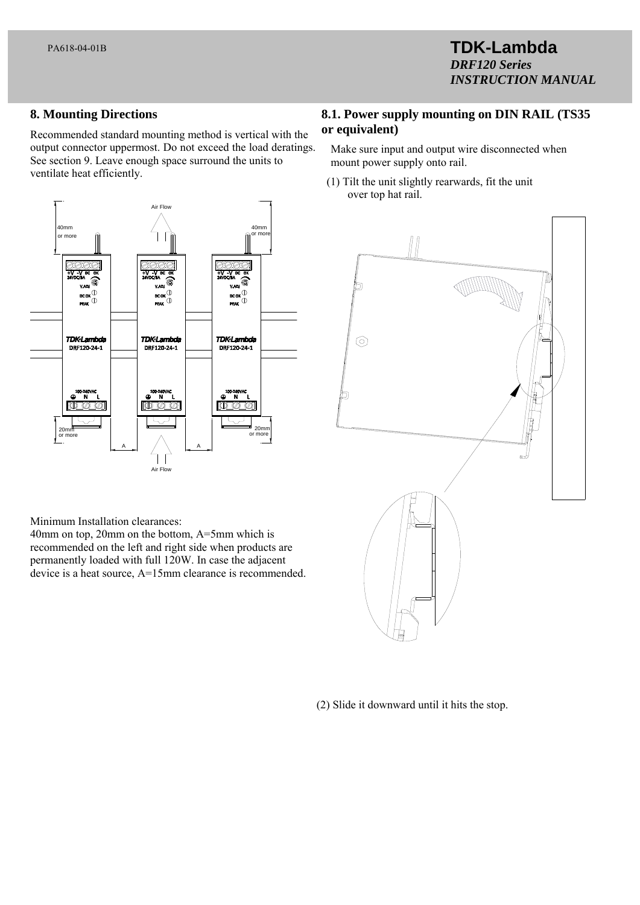# **TDK-Lambda**  *DRF120 Series INSTRUCTION MANUAL*

# **8. Mounting Directions**

Recommended standard mounting method is vertical with the output connector uppermost. Do not exceed the load deratings. See section 9. Leave enough space surround the units to ventilate heat efficiently.



Minimum Installation clearances:

40mm on top, 20mm on the bottom, A=5mm which is recommended on the left and right side when products are permanently loaded with full 120W. In case the adjacent device is a heat source, A=15mm clearance is recommended.

# **8.1. Power supply mounting on DIN RAIL (TS35 or equivalent)**

- Make sure input and output wire disconnected when mount power supply onto rail.
- (1) Tilt the unit slightly rearwards, fit the unit over top hat rail.



(2) Slide it downward until it hits the stop.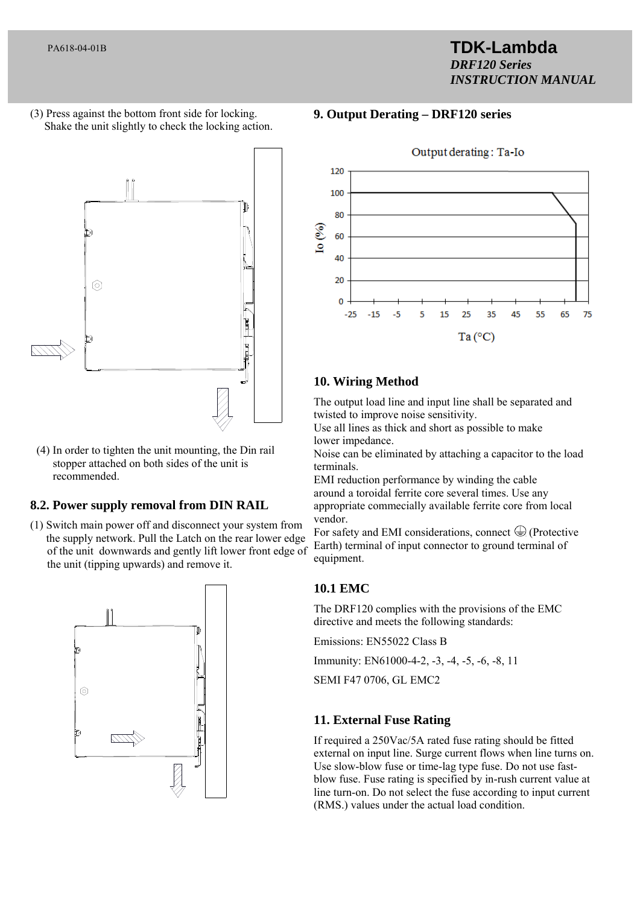# **TDK-Lambda**  *DRF120 Series INSTRUCTION MANUAL*

(3) Press against the bottom front side for locking. Shake the unit slightly to check the locking action.



 (4) In order to tighten the unit mounting, the Din rail stopper attached on both sides of the unit is recommended.

# **8.2. Power supply removal from DIN RAIL**

(1) Switch main power off and disconnect your system from the supply network. Pull the Latch on the rear lower edge of the unit downwards and gently lift lower front edge of the unit (tipping upwards) and remove it.



# **9. Output Derating – DRF120 series**



# **10. Wiring Method**

The output load line and input line shall be separated and twisted to improve noise sensitivity.

Use all lines as thick and short as possible to make lower impedance.

Noise can be eliminated by attaching a capacitor to the load terminals.

EMI reduction performance by winding the cable around a toroidal ferrite core several times. Use any appropriate commecially available ferrite core from local vendor.

For safety and EMI considerations, connect  $\bigcirc$  (Protective Earth) terminal of input connector to ground terminal of equipment.

# **10.1 EMC**

The DRF120 complies with the provisions of the EMC directive and meets the following standards:

Emissions: EN55022 Class B

Immunity: EN61000-4-2, -3, -4, -5, -6, -8, 11

SEMI F47 0706, GL EMC2

# **11. External Fuse Rating**

If required a 250Vac/5A rated fuse rating should be fitted external on input line. Surge current flows when line turns on. Use slow-blow fuse or time-lag type fuse. Do not use fastblow fuse. Fuse rating is specified by in-rush current value at line turn-on. Do not select the fuse according to input current (RMS.) values under the actual load condition.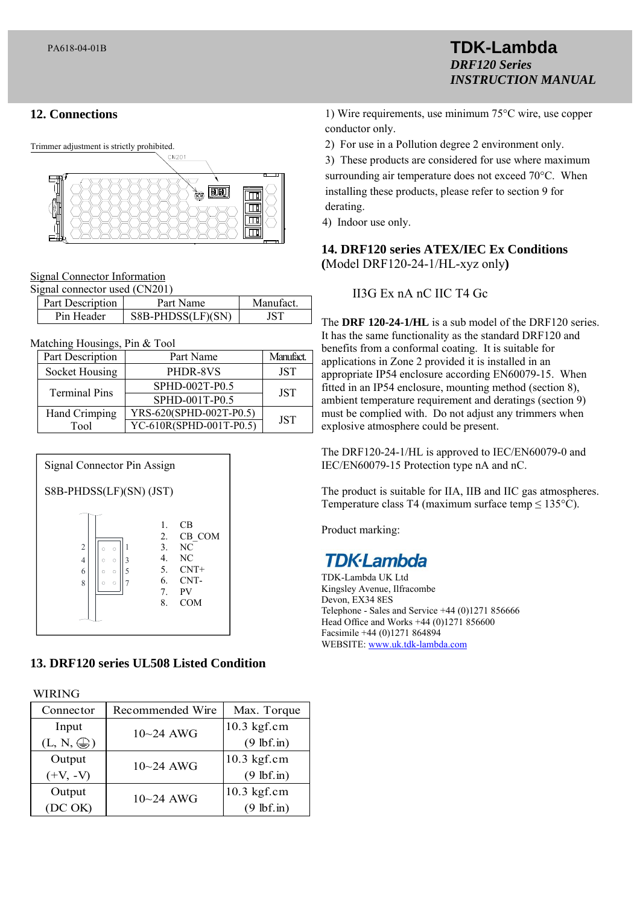# **12. Connections**

Trimmer adjustment is strictly prohibited. FORD

Signal Connector Information

| Signal connector used (CN201) |                  |                   |          |  |  |
|-------------------------------|------------------|-------------------|----------|--|--|
|                               | Part Description | Part Name         | Manufact |  |  |
|                               | Pin Header       | S8B-PHDSS(LF)(SN) | JST.     |  |  |

Matching Housings, Pin & Tool

| Part Description     | Part Name               | Manufact.  |
|----------------------|-------------------------|------------|
| Socket Housing       | PHDR-8VS                | <b>JST</b> |
| <b>Terminal Pins</b> | SPHD-002T-P0.5          | <b>JST</b> |
|                      | SPHD-001T-P0.5          |            |
| Hand Crimping        | YRS-620(SPHD-002T-P0.5) | <b>JST</b> |
| Tool                 | YC-610R(SPHD-001T-P0.5) |            |



# **13. DRF120 series UL508 Listed Condition**

WIRING

| Connector           | Recommended Wire | Max. Torque          |
|---------------------|------------------|----------------------|
| Input               | $10 - 24$ AWG    | $10.3$ kgf.cm        |
| $(L, N, \bigoplus)$ |                  | $(9$ lbf.in)         |
| Output              | $10 - 24$ AWG    | $10.3$ kgf.cm        |
| $(+V, -V)$          |                  | $(9$ lbf.in)         |
| Output              | $10 - 24$ AWG    | $10.3$ kgf.cm        |
| (DC OK)             |                  | $(9 \text{ lbf.in})$ |

1) Wire requirements, use minimum 75°C wire, use copper

**TDK-Lambda** 

*INSTRUCTION MANUAL*

*DRF120 Series*

conductor only.

2) For use in a Pollution degree 2 environment only.

3) These products are considered for use where maximum surrounding air temperature does not exceed 70°C. When installing these products, please refer to section 9 for derating.

4) Indoor use only.

**14. DRF120 series ATEX/IEC Ex Conditions (**Model DRF120-24-1/HL-xyz only**)** 

II3G Ex nA nC IIC T4 Gc

The **DRF 120-24-1/HL** is a sub model of the DRF120 series. It has the same functionality as the standard DRF120 and benefits from a conformal coating. It is suitable for applications in Zone 2 provided it is installed in an appropriate IP54 enclosure according EN60079-15. When fitted in an IP54 enclosure, mounting method (section 8), ambient temperature requirement and deratings (section 9) must be complied with. Do not adjust any trimmers when explosive atmosphere could be present.

The DRF120-24-1/HL is approved to IEC/EN60079-0 and IEC/EN60079-15 Protection type nA and nC.

The product is suitable for IIA, IIB and IIC gas atmospheres. Temperature class T4 (maximum surface temp ≤ 135°C).

Product marking:

# **TDK-Lambda**

TDK-Lambda UK Ltd Kingsley Avenue, Ilfracombe Devon, EX34 8ES Telephone - Sales and Service +44 (0)1271 856666 Head Office and Works +44 (0)1271 856600 Facsimile +44 (0)1271 864894 WEBSITE: www.uk.tdk-lambda.com